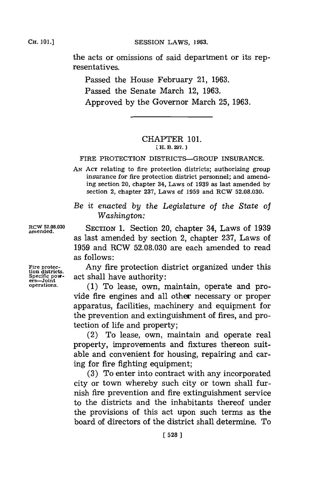CH. **101.]**

Cii. **01.]SESSION** LAWS, **1963.**

the acts or omissions of said department or its representatives.

Passed the House February 21, **1963.** Passed the Senate March 12, **1963.** Approved **by** the Governor March **25, 1963.**

## CHAPTER **101. EH. B. 297.**

## FIRE PROTECTION DISTRICTS-GROUP **INSURANCE.**

**AN ACT** relating to fire protection districts; authorizing group insurance for fire protection district personnel; and amending section 20, chapter 34, Laws of **1939** as last amended **by** section 2, chapter **237,** Laws of **1959** and RCW **52.08.030.**

*Be it enacted by the Legislature* of *the State of Washington:*

**amend52..3** SECTION **1.** Section 20, chapter 34, Laws of **1939** as last amended **by** section 2, chapter **237,** Laws of **1959** and RCW **52.08.030** are each amended to read as follows:

Fire protec-<br>tion districts.<br>Specific pow-<br>act shall have authority:

**Speciffic powo-** act shall have authority: **ers-Joint operations. (1)** To lease, own, maintain, operate and provide fire engines and all other necessary or proper apparatus, facilities, machinery and equipment for the prevention and extinguishment of fires, and protection of life and property;

> (2) To lease, own, maintain and operate real property, improvements and fixtures thereon suitable and convenient for housing, repairing and caring for fire fighting equipment;

> **(3)** To enter into contract with any incorporated city or town whereby such city or town shall furnish fire prevention and fire extinguishment service to the districts and the inhabitants thereof under the provisions of this act upon such terms as the board of directors of the district shall determine. To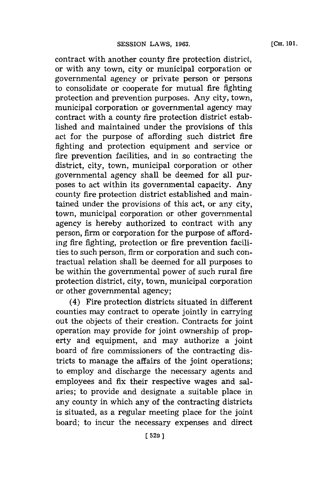contract with another county fire protection district, or with any town, city or municipal corporation or governmental agency or private person or persons to consolidate or cooperate for mutual fire fighting protection and prevention purposes. Any city, town, municipal corporation or governmental agency may contract with a county fire protection district established and maintained under the provisions of this act for the purpose of affording such district fire fighting and protection equipment and service or fire prevention facilities, and in so contracting the district, city, town, municipal corporation or other governmental agency shall be deemed for all purposes to act within its governmental capacity. Any

county fire protection district established and maintained under the provisions of this act, or any city, town, municipal corporation or other governmental agency is hereby authorized to contract with any person, firm or corporation **for** the purpose of affording fire fighting, protection or fire prevention facilities to such person, firm or corporation and such contractual relation shall be deemed **for** all purposes to be within the governmental power of such rural fire protection district, city, town, municipal corporation or other governmental agency;

(4) Fire protection districts situated in different counties may contract to operate jointly in carrying out the objects of their creation. Contracts for joint operation may provide for joint ownership of property and equipment, and may authorize a joint board of fire commissioners of the contracting districts to manage the affairs of the joint operations; to employ and discharge the necessary agents and employees and fix their respective wages and salaries; to provide and designate a suitable place in any county in which any of the contracting districts is situated, as a regular meeting place for the joint board; to incur the necessary expenses and direct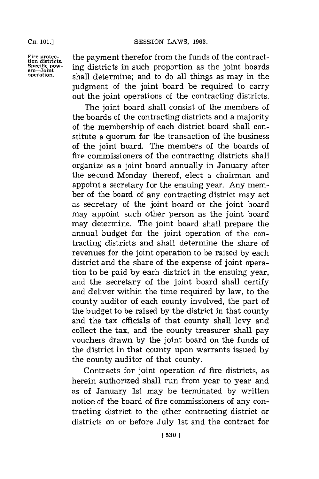**CH. 101.]**

ers-Joint<br>operation.

Fire protec- the payment therefor from the funds of the contract-<br>tion districts, in gradistricts in such proportion as the joint hoards ing districts in such proportion as the joint boards **operation,** shall determine; and to do all things as may in the judgment of the joint board be required to carry out the joint operations of the contracting districts.

> The joint board shall consist of the members of the boards of the contracting districts and a majority of the membership of each district board shall constitute a quorum for the transaction of the business of the joint board. The members of the boards of fire commissioners of the contracting districts shall organize as a joint board annually in January after the second Monday thereof, elect a chairman and appoint a secretary for the ensuing year. Any member of the board of any contracting district may act as secretary of the joint board or the joint board may appoint such other person as the joint board may determine. The joint board shall prepare the annual budget for the joint operation of the contracting districts and shall determine the share of revenues for the joint operation to be raised **by** each district and the share of the expense of joint operation to be paid **by** each district in the ensuing year, and the secretary of the joint board shall certify and deliver within the time required **by** law, to the county auditor of each county involved, the part of the budget to be raised **by** the district in that county and the tax officials of that county shall levy and collect the tax, and the county treasurer shall pay vouchers drawn. **by** the joint board on the funds of the district in that county upon warrants issued **by** the county auditor of that county.

> Contracts for joint operation of fire districts, as herein authorized shall run from year to year and as of January 1st may be terminated **by** written notice of the board of fire commissioners of any contracting district to the other contracting district or districts on or before July 1st and the contract for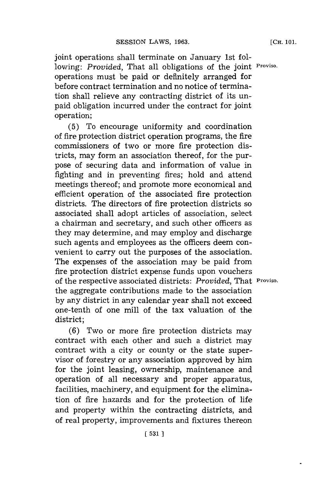joint operations shall terminate on January 1st following: *Provided,* That all obligations of the joint **Proviso.** operations must be paid or definitely arranged for before contract termination and no notice of termination shall relieve any contracting district of its unpaid obligation incurred under the contract for joint operation;

**(5)** To encourage uniformity and coordination of fire protection district operation programs, the fire commissioners of two or more fire protection districts, may form an association thereof, for the purpose of securing data and information of value in fighting and in preventing fires; hold and attend meetings thereof; and promote more economical and efficient operation of the associated fire protection districts. The directors of fire protection districts so associated shall adopt articles of association, select a chairman and secretary, and such other officers as they may determine, and may employ and discharge such agents and employees as the officers deem convenient to carry out the purposes of the association. The expenses of the association may be paid from fire protection district expense funds upon vouchers of the respective associated districts: *Provided,* That **Proviso.** the aggregate contributions made to the association **by** any district in any calendar year shall not exceed one-tenth of one mill of the tax valuation of the district;

**(6)** Two or more fire protection districts may contract with each other and such a district may contract with a city or county or the state supervisor of forestry or any association approved **by** him for the joint leasing, ownership, maintenance and operation of all necessary and proper apparatus, facilities, machinery, and equipment for the elimination of fire hazards and for the protection of life and property within the contracting districts, and of real property, improvements and fixtures thereon